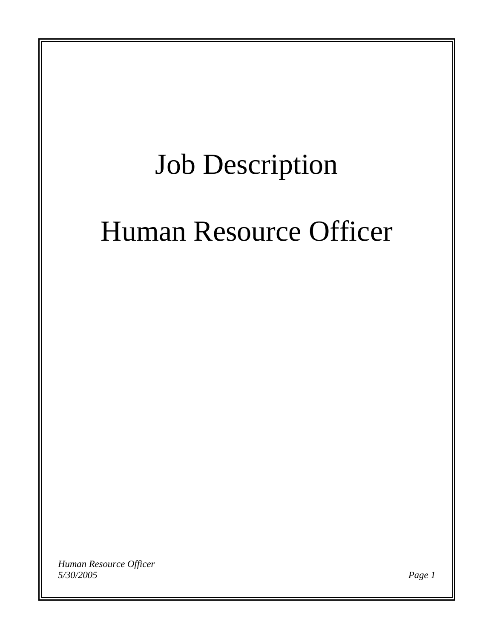# Job Description

# Human Resource Officer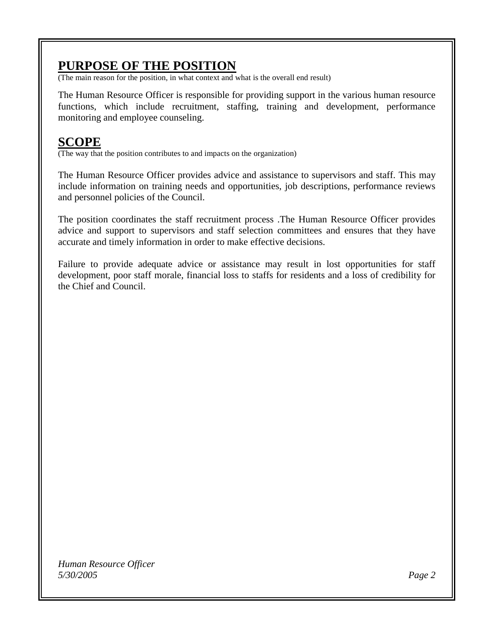## **PURPOSE OF THE POSITION**

(The main reason for the position, in what context and what is the overall end result)

The Human Resource Officer is responsible for providing support in the various human resource functions, which include recruitment, staffing, training and development, performance monitoring and employee counseling.

## **SCOPE**

(The way that the position contributes to and impacts on the organization)

The Human Resource Officer provides advice and assistance to supervisors and staff. This may include information on training needs and opportunities, job descriptions, performance reviews and personnel policies of the Council.

The position coordinates the staff recruitment process .The Human Resource Officer provides advice and support to supervisors and staff selection committees and ensures that they have accurate and timely information in order to make effective decisions.

Failure to provide adequate advice or assistance may result in lost opportunities for staff development, poor staff morale, financial loss to staffs for residents and a loss of credibility for the Chief and Council.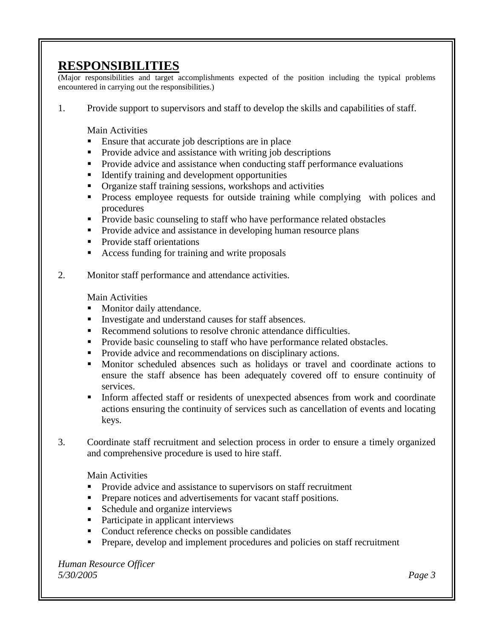## **RESPONSIBILITIES**

(Major responsibilities and target accomplishments expected of the position including the typical problems encountered in carrying out the responsibilities.)

1. Provide support to supervisors and staff to develop the skills and capabilities of staff.

Main Activities

- **Ensure that accurate job descriptions are in place**
- **•** Provide advice and assistance with writing job descriptions
- **Provide advice and assistance when conducting staff performance evaluations**
- Identify training and development opportunities
- Organize staff training sessions, workshops and activities
- **Process employee requests for outside training while complying with polices and** procedures
- **Provide basic counseling to staff who have performance related obstacles**
- **Provide advice and assistance in developing human resource plans**
- Provide staff orientations
- Access funding for training and write proposals
- 2. Monitor staff performance and attendance activities.

Main Activities

- **Monitor daily attendance.**
- Investigate and understand causes for staff absences.
- Recommend solutions to resolve chronic attendance difficulties.
- **Provide basic counseling to staff who have performance related obstacles.**
- **Provide advice and recommendations on disciplinary actions.**
- Monitor scheduled absences such as holidays or travel and coordinate actions to ensure the staff absence has been adequately covered off to ensure continuity of services.
- Inform affected staff or residents of unexpected absences from work and coordinate actions ensuring the continuity of services such as cancellation of events and locating keys.
- 3. Coordinate staff recruitment and selection process in order to ensure a timely organized and comprehensive procedure is used to hire staff.

Main Activities

- **Provide advice and assistance to supervisors on staff recruitment**
- **Prepare notices and advertisements for vacant staff positions.**
- Schedule and organize interviews
- Participate in applicant interviews
- Conduct reference checks on possible candidates
- **Prepare, develop and implement procedures and policies on staff recruitment**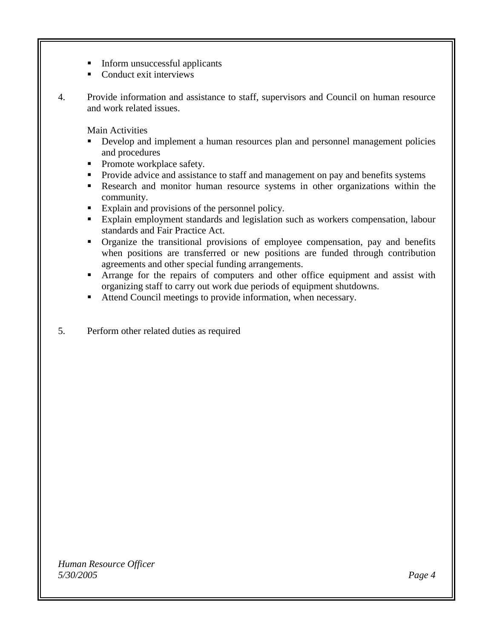- Inform unsuccessful applicants
- Conduct exit interviews
- 4. Provide information and assistance to staff, supervisors and Council on human resource and work related issues.

Main Activities

- Develop and implement a human resources plan and personnel management policies and procedures
- Promote workplace safety.
- Provide advice and assistance to staff and management on pay and benefits systems
- Research and monitor human resource systems in other organizations within the community.
- Explain and provisions of the personnel policy.
- Explain employment standards and legislation such as workers compensation, labour standards and Fair Practice Act.
- Organize the transitional provisions of employee compensation, pay and benefits when positions are transferred or new positions are funded through contribution agreements and other special funding arrangements.
- **Arrange for the repairs of computers and other office equipment and assist with** organizing staff to carry out work due periods of equipment shutdowns.
- Attend Council meetings to provide information, when necessary.
- 5. Perform other related duties as required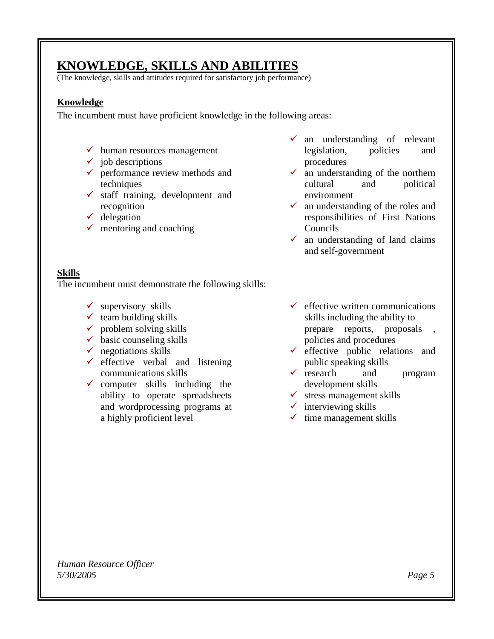# **KNOWLEDGE, SKILLS AND ABILITIES**

(The knowledge, skills and attitudes required for satisfactory job performance)

#### **Knowledge**

The incumbent must have proficient knowledge in the following areas:

- $\checkmark$  human resources management
- $\checkmark$  job descriptions
- $\checkmark$  performance review methods and techniques
- $\checkmark$  staff training, development and recognition
- $\checkmark$  delegation
- $\checkmark$  mentoring and coaching
- $\checkmark$  an understanding of relevant legislation, policies and procedures
- $\checkmark$  an understanding of the northern cultural and political environment
- $\checkmark$  an understanding of the roles and responsibilities of First Nations Councils
- $\checkmark$  an understanding of land claims and self-government

#### **Skills**

The incumbent must demonstrate the following skills:

- $\checkmark$  supervisory skills
- $\checkmark$  team building skills
- $\checkmark$  problem solving skills
- $\checkmark$  basic counseling skills
- $\checkmark$  negotiations skills
- $\checkmark$  effective verbal and listening communications skills
- $\checkmark$  computer skills including the ability to operate spreadsheets and wordprocessing programs at a highly proficient level
- $\checkmark$  effective written communications skills including the ability to prepare reports, proposals , policies and procedures
- $\checkmark$  effective public relations and public speaking skills
- $\checkmark$  research and program development skills
- $\checkmark$  stress management skills
- $\checkmark$  interviewing skills
- $\checkmark$  time management skills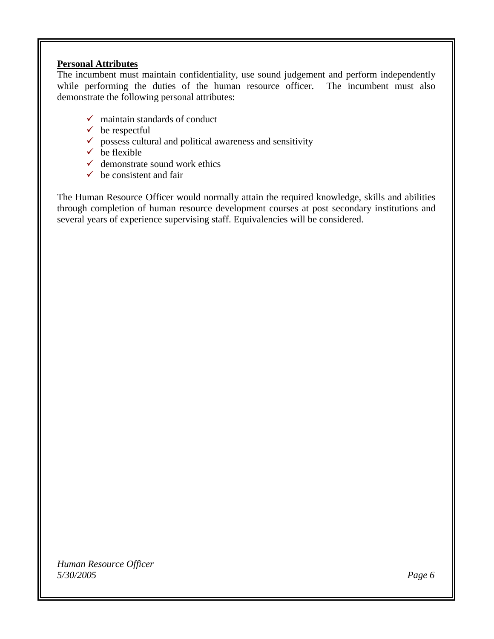#### **Personal Attributes**

The incumbent must maintain confidentiality, use sound judgement and perform independently while performing the duties of the human resource officer. The incumbent must also demonstrate the following personal attributes:

- $\checkmark$  maintain standards of conduct
- $\checkmark$  be respectful
- $\checkmark$  possess cultural and political awareness and sensitivity
- $\checkmark$  be flexible
- $\checkmark$  demonstrate sound work ethics
- $\checkmark$  be consistent and fair

The Human Resource Officer would normally attain the required knowledge, skills and abilities through completion of human resource development courses at post secondary institutions and several years of experience supervising staff. Equivalencies will be considered.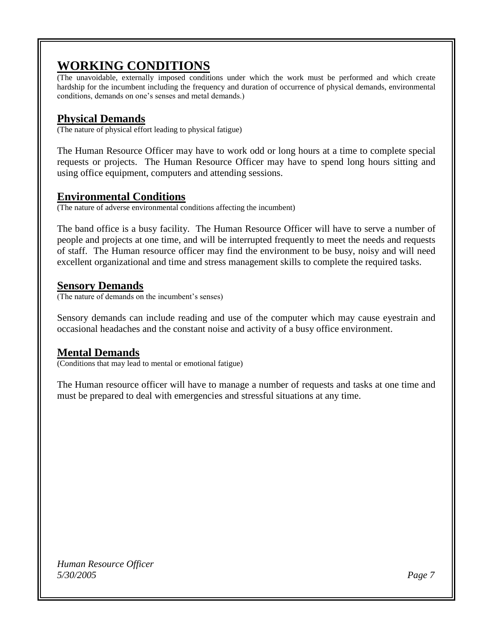# **WORKING CONDITIONS**

(The unavoidable, externally imposed conditions under which the work must be performed and which create hardship for the incumbent including the frequency and duration of occurrence of physical demands, environmental conditions, demands on one's senses and metal demands.)

## **Physical Demands**

(The nature of physical effort leading to physical fatigue)

The Human Resource Officer may have to work odd or long hours at a time to complete special requests or projects. The Human Resource Officer may have to spend long hours sitting and using office equipment, computers and attending sessions.

## **Environmental Conditions**

(The nature of adverse environmental conditions affecting the incumbent)

The band office is a busy facility. The Human Resource Officer will have to serve a number of people and projects at one time, and will be interrupted frequently to meet the needs and requests of staff. The Human resource officer may find the environment to be busy, noisy and will need excellent organizational and time and stress management skills to complete the required tasks.

### **Sensory Demands**

(The nature of demands on the incumbent's senses)

Sensory demands can include reading and use of the computer which may cause eyestrain and occasional headaches and the constant noise and activity of a busy office environment.

## **Mental Demands**

(Conditions that may lead to mental or emotional fatigue)

The Human resource officer will have to manage a number of requests and tasks at one time and must be prepared to deal with emergencies and stressful situations at any time.